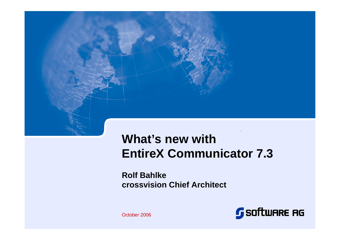

# **What's new withEntireX Communicator 7.3**

**Rolf Bahlkecrossvision Chief Architect**



October 2006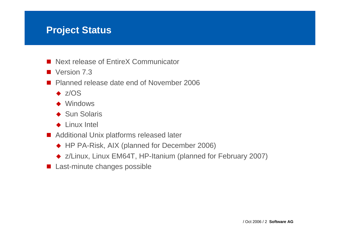### **Project Status**

- Next release of EntireX Communicator
- Version 7.3
- **Planned release date end of November 2006** 
	- $\bullet$  z/OS
	- ◆ Windows
	- ◆ Sun Solaris
	- ◆ Linux Intel
- **Additional Unix platforms released later** 
	- ◆ HP PA-Risk, AIX (planned for December 2006)
	- ◆ z/Linux, Linux EM64T, HP-Itanium (planned for February 2007)
- **Last-minute changes possible**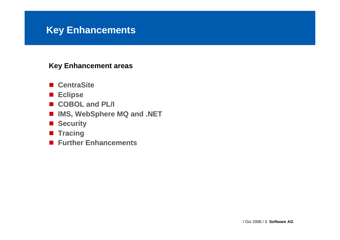- CentraSite
- **Eclipse**
- **COBOL and PL/I**
- **IMS, WebSphere MQ and .NET**
- Security
- Tracing
- **Further Enhancements**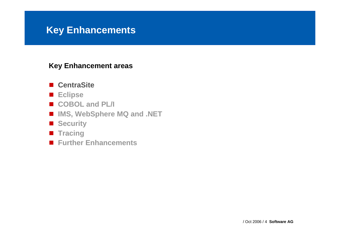#### **Key Enhancement areas**

# ■ CentraSite

- **Eclipse**
- COBOL and PL/I
- **IMS, WebSphere MQ and .NET**
- Security
- Tracing
- **Further Enhancements**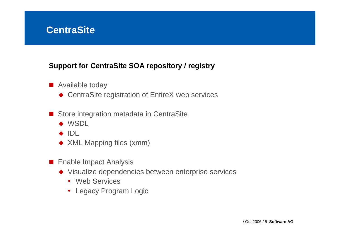# **CentraSite**

### **Support for CentraSite SOA repository / registry**

- **Available today** 
	- ◆ CentraSite registration of EntireX web services
- Store integration metadata in CentraSite
	- ◆ WSDL
	- ◆ IDL
	- ◆ XML Mapping files (xmm)
- **Enable Impact Analysis** 
	- ◆ Visualize dependencies between enterprise services
		- Web Services
		- Legacy Program Logic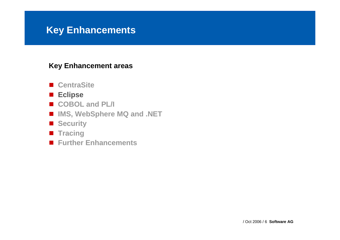- CentraSite<br>- ..
- **Eclipse**
- COBOL and PL/I
- **IMS, WebSphere MQ and .NET**
- Security
- Tracing
- **Further Enhancements**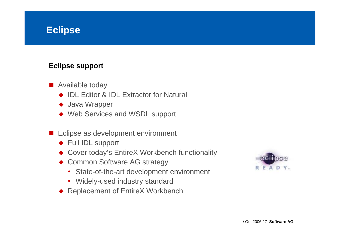# **Eclipse**

### **Eclipse support**

- Available today
	- ◆ IDL Editor & IDL Extractor for Natural
	- ◆ Java Wrapper
	- ◆ Web Services and WSDL support
- **The Co**  Eclipse as development environment
	- ◆ Full IDL support
	- ◆ Cover today's EntireX Workbench functionality
	- ◆ Common Software AG strategy
		- State-of-the-art development environment
		- Widely-used industry standard
	- ◆ Replacement of EntireX Workbench

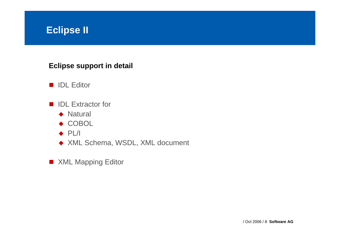# **Eclipse II**

### **Eclipse support in detail**

- IDL Editor
- IDL Extractor for
	- ◆ Natural
	- ◆ COBOL
	- $\leftrightarrow$  PL/I
	- ◆ XML Schema, WSDL, XML document
- XML Mapping Editor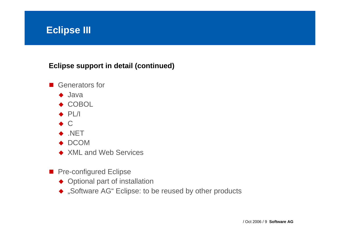# **Eclipse III**

### **Eclipse support in detail (continued)**

- Generators for
	- ◆ Java
	- ◆ COBOL
	- $\bullet$  PL/I
	- $\bullet$  C
	- ◆ .NET
	- ◆ DCOM
	- ◆ XML and Web Services
- **Pre-configured Eclipse** 
	- ◆ Optional part of installation
	- ◆ "Software AG" Eclipse: to be reused by other products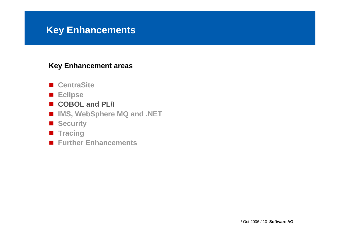- CentraSite<br>- ..
- **Eclipse**
- **COBOL and PL/I**
- **IMS, WebSphere MQ and .NET**
- Security
- Tracing
- **Further Enhancements**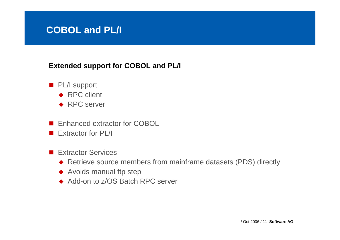# **COBOL and PL/I**

### **Extended support for COBOL and PL/I**

- **PL/I support** 
	- ◆ RPC client
	- ◆ RPC server
- Enhanced extractor for COBOL
- **Extractor for PL/I**
- **Extractor Services** 
	- ◆ Retrieve source members from mainframe datasets (PDS) directly
	- ◆ Avoids manual ftp step
	- ◆ Add-on to z/OS Batch RPC server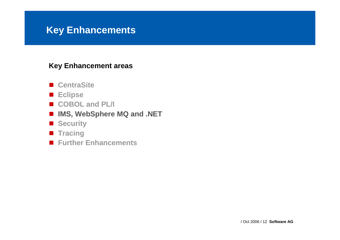- CentraSite<br>- ..
- **Eclipse**
- COBOL and PL/I
- **IMS, WebSphere MQ and .NET**
- Security
- Tracing
- **Further Enhancements**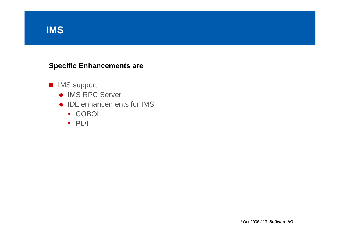# **IMS**

### **Specific Enhancements are**

- IMS support
	- ◆ IMS RPC Server
	- ◆ IDL enhancements for IMS
		- COBOL
		- PL/I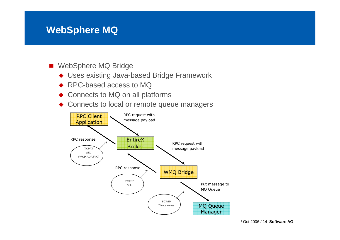### **WebSphere MQ**

- WebSphere MQ Bridge
	- ◆ Uses existing Java-based Bridge Framework
	- ◆ RPC-based access to MQ
	- ◆ Connects to MQ on all platforms
	- $\bullet$ Connects to local or remote queue managers

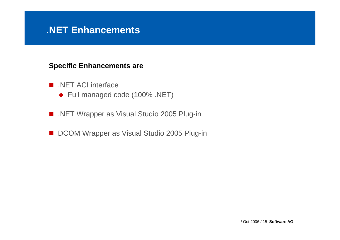### **.NET Enhancements**

#### **Specific Enhancements are**

- .NET ACI interface
	- ◆ Full managed code (100% .NET)
- .NET Wrapper as Visual Studio 2005 Plug-in
- $\mathcal{L}_{\mathcal{A}}$ DCOM Wrapper as Visual Studio 2005 Plug-in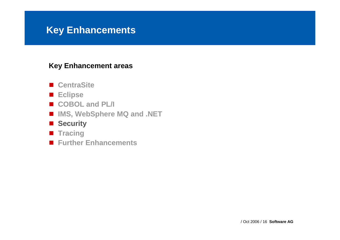- CentraSite<br>- ..
- **Eclipse**
- COBOL and PL/I
- **IMS, WebSphere MQ and .NET**
- Security
- Tracing
- **Further Enhancements**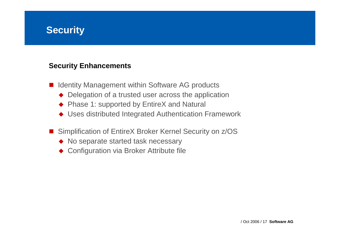### **Security**

#### **Security Enhancements**

- Identity Management within Software AG products
	- Delegation of a trusted user across the application
	- ◆ Phase 1: supported by EntireX and Natural
	- ◆ Uses distributed Integrated Authentication Framework
- Simplification of EntireX Broker Kernel Security on z/OS
	- No separate started task necessary
	- ◆ Configuration via Broker Attribute file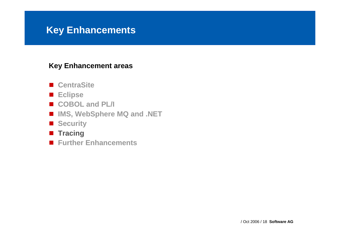- CentraSite<br>- ..
- **Eclipse**
- COBOL and PL/I
- **IMS, WebSphere MQ and .NET**
- Security
- Tracing
- **Further Enhancements**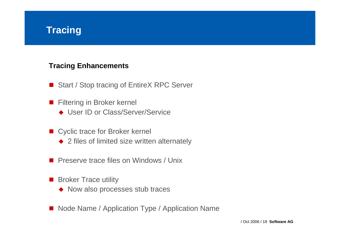# **Tracing**

### **Tracing Enhancements**

- Start / Stop tracing of EntireX RPC Server
- $\mathbf{r}$  Filtering in Broker kernel
	- ◆ User ID or Class/Server/Service
- Cyclic trace for Broker kernel
	- ◆ 2 files of limited size written alternately
- **Preserve trace files on Windows / Unix**
- $\mathcal{L}_{\text{max}}$  Broker Trace utility
	- ◆ Now also processes stub traces
- Node Name / Application Type / Application Name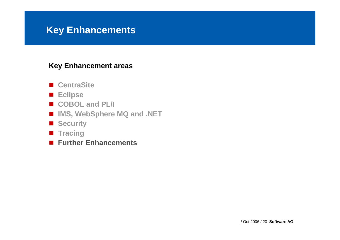- CentraSite<br>- ..
- **Eclipse**
- COBOL and PL/I
- **IMS, WebSphere MQ and .NET**
- Security
- Tracing
- **Further Enhancements**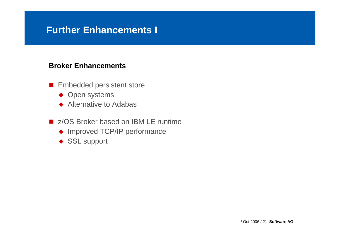## **Further Enhancements I**

#### **Broker Enhancements**

- **Embedded persistent store** 
	- ◆ Open systems
	- ◆ Alternative to Adabas
- **z/OS Broker based on IBM LE runtime** 
	- ◆ Improved TCP/IP performance
	- ◆ SSL support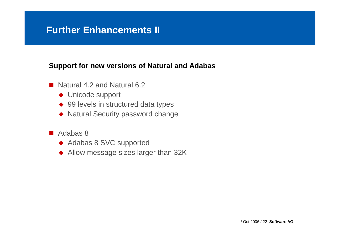# **Further Enhancements II**

#### **Support for new versions of Natural and Adabas**

- Natural 4.2 and Natural 6.2
	- ◆ Unicode support
	- ◆ 99 levels in structured data types
	- ◆ Natural Security password change
- Adabas 8
	- ◆ Adabas 8 SVC supported
	- ◆ Allow message sizes larger than 32K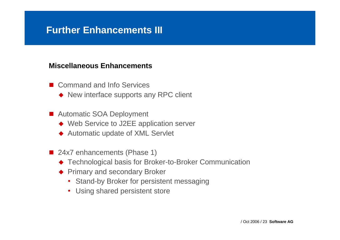# **Further Enhancements III**

#### **Miscellaneous Enhancements**

- Command and Info Services
	- ◆ New interface supports any RPC client
- Automatic SOA Deployment
	- ◆ Web Service to J2EE application server
	- ◆ Automatic update of XML Servlet
- 24x7 enhancements (Phase 1)
	- ◆ Technological basis for Broker-to-Broker Communication
	- ◆ Primary and secondary Broker
		- Stand-by Broker for persistent messaging
		- Using shared persistent store